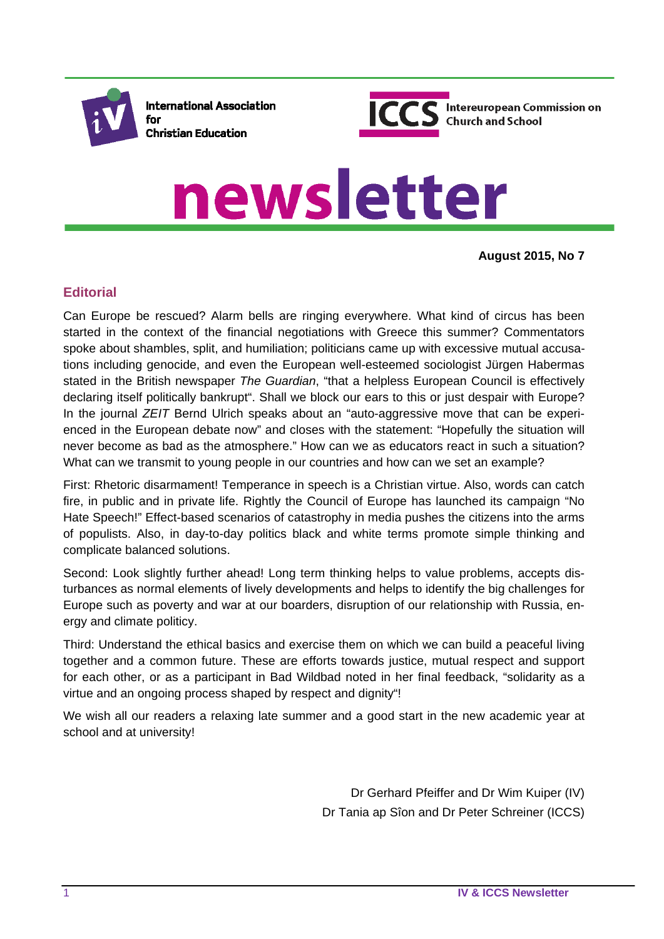

**International Association** for **Christian Education** 



# newsletter

**August 2015, No 7**

# **Editorial**

Can Europe be rescued? Alarm bells are ringing everywhere. What kind of circus has been started in the context of the financial negotiations with Greece this summer? Commentators spoke about shambles, split, and humiliation; politicians came up with excessive mutual accusations including genocide, and even the European well-esteemed sociologist Jürgen Habermas stated in the British newspaper *The Guardian*, "that a helpless European Council is effectively declaring itself politically bankrupt". Shall we block our ears to this or just despair with Europe? In the journal *ZEIT* Bernd Ulrich speaks about an "auto-aggressive move that can be experienced in the European debate now" and closes with the statement: "Hopefully the situation will never become as bad as the atmosphere." How can we as educators react in such a situation? What can we transmit to young people in our countries and how can we set an example?

First: Rhetoric disarmament! Temperance in speech is a Christian virtue. Also, words can catch fire, in public and in private life. Rightly the Council of Europe has launched its campaign "No Hate Speech!" Effect-based scenarios of catastrophy in media pushes the citizens into the arms of populists. Also, in day-to-day politics black and white terms promote simple thinking and complicate balanced solutions.

Second: Look slightly further ahead! Long term thinking helps to value problems, accepts disturbances as normal elements of lively developments and helps to identify the big challenges for Europe such as poverty and war at our boarders, disruption of our relationship with Russia, energy and climate politicy.

Third: Understand the ethical basics and exercise them on which we can build a peaceful living together and a common future. These are efforts towards justice, mutual respect and support for each other, or as a participant in Bad Wildbad noted in her final feedback, "solidarity as a virtue and an ongoing process shaped by respect and dignity"!

We wish all our readers a relaxing late summer and a good start in the new academic year at school and at university!

> Dr Gerhard Pfeiffer and Dr Wim Kuiper (IV) Dr Tania ap Sîon and Dr Peter Schreiner (ICCS)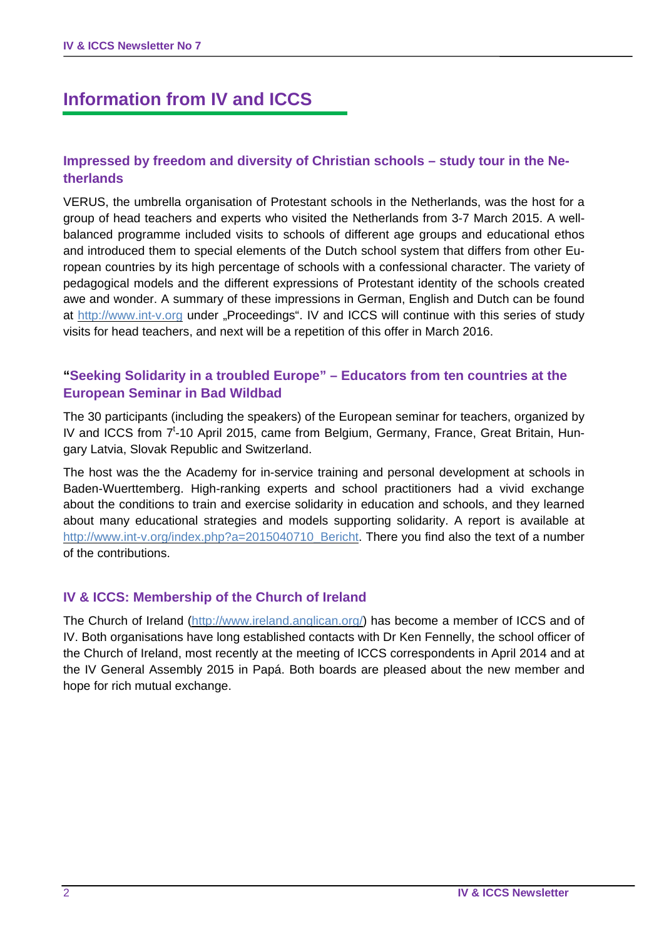# **Information from IV and ICCS**

## **Impressed by freedom and diversity of Christian schools – study tour in the Netherlands**

VERUS, the umbrella organisation of Protestant schools in the Netherlands, was the host for a group of head teachers and experts who visited the Netherlands from 3-7 March 2015. A wellbalanced programme included visits to schools of different age groups and educational ethos and introduced them to special elements of the Dutch school system that differs from other European countries by its high percentage of schools with a confessional character. The variety of pedagogical models and the different expressions of Protestant identity of the schools created awe and wonder. A summary of these impressions in German, English and Dutch can be found at http://www.int-v.org under "Proceedings". IV and ICCS will continue with this series of study visits for head teachers, and next will be a repetition of this offer in March 2016.

## **"Seeking Solidarity in a troubled Europe" – Educators from ten countries at the European Seminar in Bad Wildbad**

The 30 participants (including the speakers) of the European seminar for teachers, organized by IV and ICCS from 7<sup>t</sup>-10 April 2015, came from Belgium, Germany, France, Great Britain, Hungary Latvia, Slovak Republic and Switzerland.

The host was the the Academy for in-service training and personal development at schools in Baden-Wuerttemberg. High-ranking experts and school practitioners had a vivid exchange about the conditions to train and exercise solidarity in education and schools, and they learned about many educational strategies and models supporting solidarity. A report is available at http://www.int-v.org/index.php?a=2015040710\_Bericht. There you find also the text of a number of the contributions.

## **IV & ICCS: Membership of the Church of Ireland**

The Church of Ireland (http://www.ireland.anglican.org/) has become a member of ICCS and of IV. Both organisations have long established contacts with Dr Ken Fennelly, the school officer of the Church of Ireland, most recently at the meeting of ICCS correspondents in April 2014 and at the IV General Assembly 2015 in Papá. Both boards are pleased about the new member and hope for rich mutual exchange.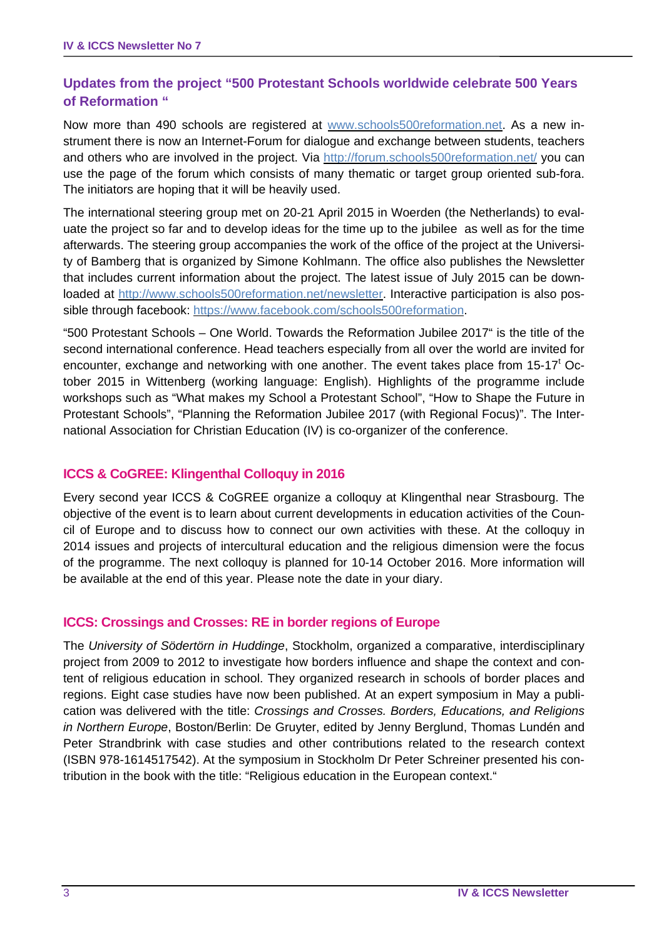# **Updates from the project "500 Protestant Schools worldwide celebrate 500 Years of Reformation "**

Now more than 490 schools are registered at www.schools500reformation.net. As a new instrument there is now an Internet-Forum for dialogue and exchange between students, teachers and others who are involved in the project. Via http://forum.schools500reformation.net/ you can use the page of the forum which consists of many thematic or target group oriented sub-fora. The initiators are hoping that it will be heavily used.

The international steering group met on 20-21 April 2015 in Woerden (the Netherlands) to evaluate the project so far and to develop ideas for the time up to the jubilee as well as for the time afterwards. The steering group accompanies the work of the office of the project at the University of Bamberg that is organized by Simone Kohlmann. The office also publishes the Newsletter that includes current information about the project. The latest issue of July 2015 can be downloaded at http://www.schools500reformation.net/newsletter. Interactive participation is also possible through facebook: https://www.facebook.com/schools500reformation.

"500 Protestant Schools – One World. Towards the Reformation Jubilee 2017" is the title of the second international conference. Head teachers especially from all over the world are invited for encounter, exchange and networking with one another. The event takes place from  $15{\text -}17^{\text{t}}$  October 2015 in Wittenberg (working language: English). Highlights of the programme include workshops such as "What makes my School a Protestant School", "How to Shape the Future in Protestant Schools", "Planning the Reformation Jubilee 2017 (with Regional Focus)". The International Association for Christian Education (IV) is co-organizer of the conference.

## **ICCS & CoGREE: Klingenthal Colloquy in 2016**

Every second year ICCS & CoGREE organize a colloquy at Klingenthal near Strasbourg. The objective of the event is to learn about current developments in education activities of the Council of Europe and to discuss how to connect our own activities with these. At the colloquy in 2014 issues and projects of intercultural education and the religious dimension were the focus of the programme. The next colloquy is planned for 10-14 October 2016. More information will be available at the end of this year. Please note the date in your diary.

## **ICCS: Crossings and Crosses: RE in border regions of Europe**

The *University of Södertörn in Huddinge*, Stockholm, organized a comparative, interdisciplinary project from 2009 to 2012 to investigate how borders influence and shape the context and content of religious education in school. They organized research in schools of border places and regions. Eight case studies have now been published. At an expert symposium in May a publication was delivered with the title: *Crossings and Crosses. Borders, Educations, and Religions in Northern Europe*, Boston/Berlin: De Gruyter, edited by Jenny Berglund, Thomas Lundén and Peter Strandbrink with case studies and other contributions related to the research context (ISBN 978-1614517542). At the symposium in Stockholm Dr Peter Schreiner presented his contribution in the book with the title: "Religious education in the European context."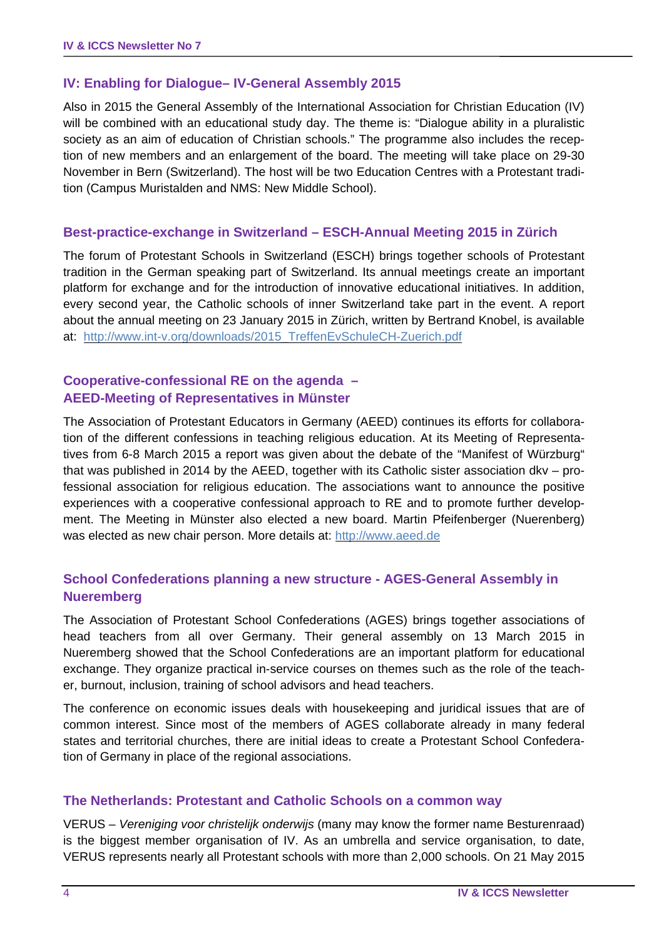## **IV: Enabling for Dialogue– IV-General Assembly 2015**

Also in 2015 the General Assembly of the International Association for Christian Education (IV) will be combined with an educational study day. The theme is: "Dialogue ability in a pluralistic society as an aim of education of Christian schools." The programme also includes the reception of new members and an enlargement of the board. The meeting will take place on 29-30 November in Bern (Switzerland). The host will be two Education Centres with a Protestant tradition (Campus Muristalden and NMS: New Middle School).

## **Best-practice-exchange in Switzerland – ESCH-Annual Meeting 2015 in Zürich**

The forum of Protestant Schools in Switzerland (ESCH) brings together schools of Protestant tradition in the German speaking part of Switzerland. Its annual meetings create an important platform for exchange and for the introduction of innovative educational initiatives. In addition, every second year, the Catholic schools of inner Switzerland take part in the event. A report about the annual meeting on 23 January 2015 in Zürich, written by Bertrand Knobel, is available at: http://www.int-v.org/downloads/2015\_TreffenEvSchuleCH-Zuerich.pdf

## **Cooperative-confessional RE on the agenda – AEED-Meeting of Representatives in Münster**

The Association of Protestant Educators in Germany (AEED) continues its efforts for collaboration of the different confessions in teaching religious education. At its Meeting of Representatives from 6-8 March 2015 a report was given about the debate of the "Manifest of Würzburg" that was published in 2014 by the AEED, together with its Catholic sister association dkv – professional association for religious education. The associations want to announce the positive experiences with a cooperative confessional approach to RE and to promote further development. The Meeting in Münster also elected a new board. Martin Pfeifenberger (Nuerenberg) was elected as new chair person. More details at: http://www.aeed.de

## **School Confederations planning a new structure - AGES-General Assembly in Nueremberg**

The Association of Protestant School Confederations (AGES) brings together associations of head teachers from all over Germany. Their general assembly on 13 March 2015 in Nueremberg showed that the School Confederations are an important platform for educational exchange. They organize practical in-service courses on themes such as the role of the teacher, burnout, inclusion, training of school advisors and head teachers.

The conference on economic issues deals with housekeeping and juridical issues that are of common interest. Since most of the members of AGES collaborate already in many federal states and territorial churches, there are initial ideas to create a Protestant School Confederation of Germany in place of the regional associations.

## **The Netherlands: Protestant and Catholic Schools on a common way**

VERUS – *Vereniging voor christelijk onderwijs* (many may know the former name Besturenraad) is the biggest member organisation of IV. As an umbrella and service organisation, to date, VERUS represents nearly all Protestant schools with more than 2,000 schools. On 21 May 2015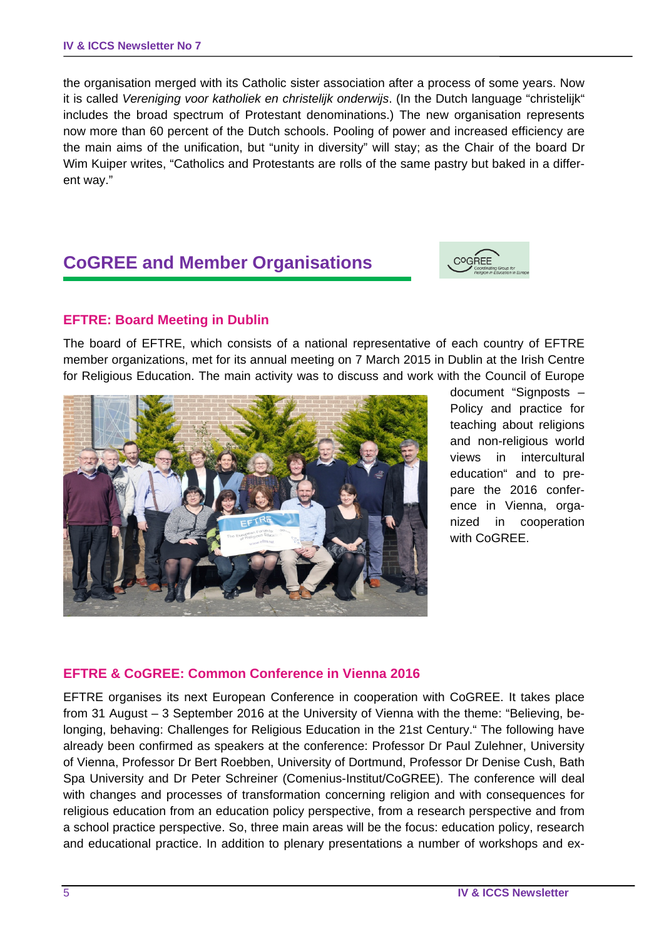the organisation merged with its Catholic sister association after a process of some years. Now it is called *Vereniging voor katholiek en christelijk onderwijs*. (In the Dutch language "christelijk" includes the broad spectrum of Protestant denominations.) The new organisation represents now more than 60 percent of the Dutch schools. Pooling of power and increased efficiency are the main aims of the unification, but "unity in diversity" will stay; as the Chair of the board Dr Wim Kuiper writes, "Catholics and Protestants are rolls of the same pastry but baked in a different way."

# **CoGREE and Member Organisations**



## **EFTRE: Board Meeting in Dublin**

The board of EFTRE, which consists of a national representative of each country of EFTRE member organizations, met for its annual meeting on 7 March 2015 in Dublin at the Irish Centre for Religious Education. The main activity was to discuss and work with the Council of Europe



document "Signposts – Policy and practice for teaching about religions and non-religious world views in intercultural education" and to prepare the 2016 conference in Vienna, organized in cooperation with CoGREE.

## **EFTRE & CoGREE: Common Conference in Vienna 2016**

EFTRE organises its next European Conference in cooperation with CoGREE. It takes place from 31 August – 3 September 2016 at the University of Vienna with the theme: "Believing, belonging, behaving: Challenges for Religious Education in the 21st Century." The following have already been confirmed as speakers at the conference: Professor Dr Paul Zulehner, University of Vienna, Professor Dr Bert Roebben, University of Dortmund, Professor Dr Denise Cush, Bath Spa University and Dr Peter Schreiner (Comenius-Institut/CoGREE). The conference will deal with changes and processes of transformation concerning religion and with consequences for religious education from an education policy perspective, from a research perspective and from a school practice perspective. So, three main areas will be the focus: education policy, research and educational practice. In addition to plenary presentations a number of workshops and ex-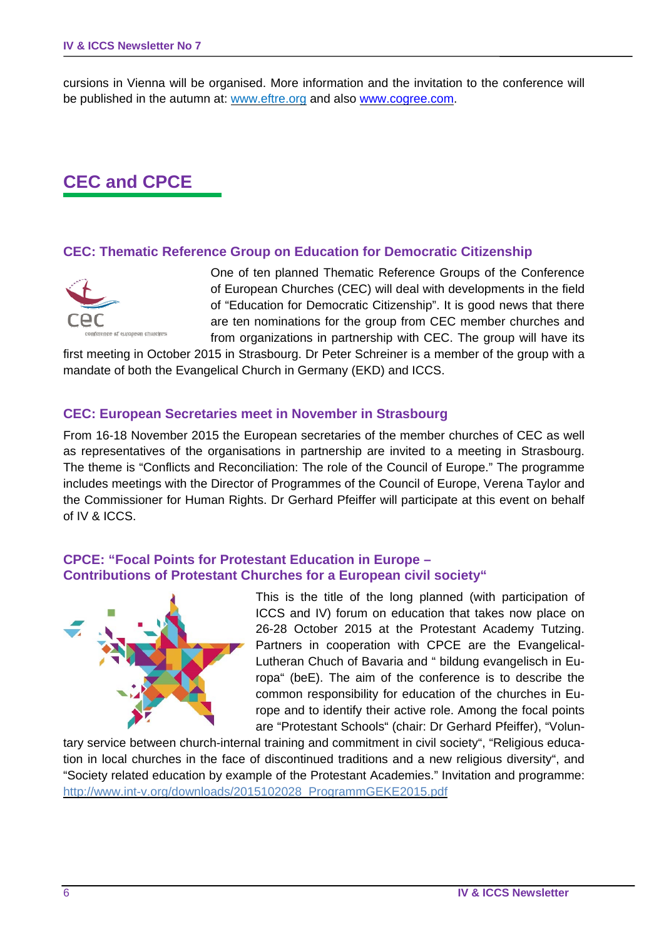cursions in Vienna will be organised. More information and the invitation to the conference will be published in the autumn at: www.eftre.org and also www.cogree.com.

# **CEC and CPCE**

## **CEC: Thematic Reference Group on Education for Democratic Citizenship**



One of ten planned Thematic Reference Groups of the Conference of European Churches (CEC) will deal with developments in the field of "Education for Democratic Citizenship". It is good news that there are ten nominations for the group from CEC member churches and from organizations in partnership with CEC. The group will have its

first meeting in October 2015 in Strasbourg. Dr Peter Schreiner is a member of the group with a mandate of both the Evangelical Church in Germany (EKD) and ICCS.

## **CEC: European Secretaries meet in November in Strasbourg**

From 16-18 November 2015 the European secretaries of the member churches of CEC as well as representatives of the organisations in partnership are invited to a meeting in Strasbourg. The theme is "Conflicts and Reconciliation: The role of the Council of Europe." The programme includes meetings with the Director of Programmes of the Council of Europe, Verena Taylor and the Commissioner for Human Rights. Dr Gerhard Pfeiffer will participate at this event on behalf of IV & ICCS.

## **CPCE: "Focal Points for Protestant Education in Europe – Contributions of Protestant Churches for a European civil society"**



This is the title of the long planned (with participation of ICCS and IV) forum on education that takes now place on 26-28 October 2015 at the Protestant Academy Tutzing. Partners in cooperation with CPCE are the Evangelical-Lutheran Chuch of Bavaria and " bildung evangelisch in Europa" (beE). The aim of the conference is to describe the common responsibility for education of the churches in Europe and to identify their active role. Among the focal points are "Protestant Schools" (chair: Dr Gerhard Pfeiffer), "Volun-

tary service between church-internal training and commitment in civil society", "Religious education in local churches in the face of discontinued traditions and a new religious diversity", and "Society related education by example of the Protestant Academies." Invitation and programme: http://www.int-v.org/downloads/2015102028\_ProgrammGEKE2015.pdf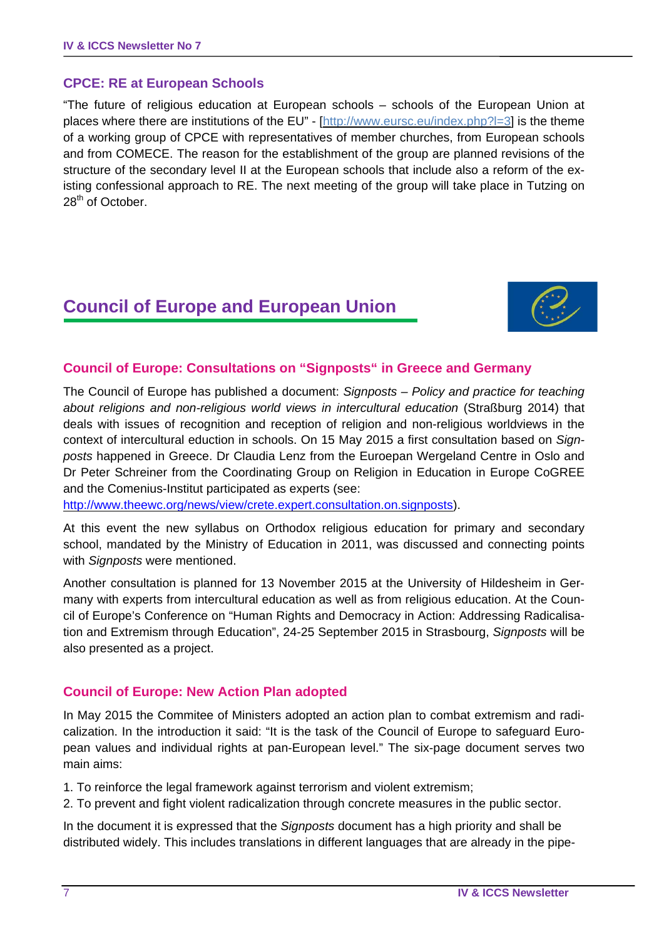## **CPCE: RE at European Schools**

"The future of religious education at European schools – schools of the European Union at places where there are institutions of the EU" - [http://www.eursc.eu/index.php?l=3] is the theme of a working group of CPCE with representatives of member churches, from European schools and from COMECE. The reason for the establishment of the group are planned revisions of the structure of the secondary level II at the European schools that include also a reform of the existing confessional approach to RE. The next meeting of the group will take place in Tutzing on 28<sup>th</sup> of October.

# **Council of Europe and European Union**



## **Council of Europe: Consultations on "Signposts" in Greece and Germany**

The Council of Europe has published a document: *Signposts – Policy and practice for teaching about religions and non-religious world views in intercultural education* (Straßburg 2014) that deals with issues of recognition and reception of religion and non-religious worldviews in the context of intercultural eduction in schools. On 15 May 2015 a first consultation based on *Signposts* happened in Greece. Dr Claudia Lenz from the Euroepan Wergeland Centre in Oslo and Dr Peter Schreiner from the Coordinating Group on Religion in Education in Europe CoGREE and the Comenius-Institut participated as experts (see:

http://www.theewc.org/news/view/crete.expert.consultation.on.signposts).

At this event the new syllabus on Orthodox religious education for primary and secondary school, mandated by the Ministry of Education in 2011, was discussed and connecting points with *Signposts* were mentioned.

Another consultation is planned for 13 November 2015 at the University of Hildesheim in Germany with experts from intercultural education as well as from religious education. At the Council of Europe's Conference on "Human Rights and Democracy in Action: Addressing Radicalisation and Extremism through Education", 24-25 September 2015 in Strasbourg, *Signposts* will be also presented as a project.

## **Council of Europe: New Action Plan adopted**

In May 2015 the Commitee of Ministers adopted an action plan to combat extremism and radicalization. In the introduction it said: "It is the task of the Council of Europe to safeguard European values and individual rights at pan-European level." The six-page document serves two main aims:

1. To reinforce the legal framework against terrorism and violent extremism;

2. To prevent and fight violent radicalization through concrete measures in the public sector.

In the document it is expressed that the *Signposts* document has a high priority and shall be distributed widely. This includes translations in different languages that are already in the pipe